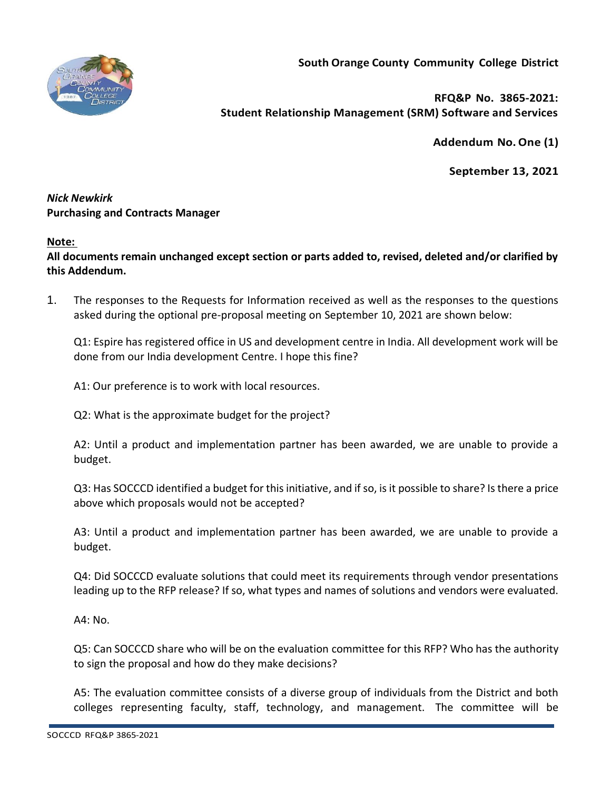

**RFQ&P No. 3865-2021: Student Relationship Management (SRM) Software and Services**

**Addendum No.One (1)**

**September 13, 2021**

## *Nick Newkirk*  **Purchasing and Contracts Manager**

# **Note:**

**All documents remain unchanged except section or parts added to, revised, deleted and/or clarified by this Addendum.**

1. The responses to the Requests for Information received as well as the responses to the questions asked during the optional pre-proposal meeting on September 10, 2021 are shown below:

Q1: Espire has registered office in US and development centre in India. All development work will be done from our India development Centre. I hope this fine?

A1: Our preference is to work with local resources.

Q2: What is the approximate budget for the project?

A2: Until a product and implementation partner has been awarded, we are unable to provide a budget.

Q3: Has SOCCCD identified a budget for this initiative, and if so, is it possible to share? Is there a price above which proposals would not be accepted?

A3: Until a product and implementation partner has been awarded, we are unable to provide a budget.

Q4: Did SOCCCD evaluate solutions that could meet its requirements through vendor presentations leading up to the RFP release? If so, what types and names of solutions and vendors were evaluated.

A4: No.

Q5: Can SOCCCD share who will be on the evaluation committee for this RFP? Who has the authority to sign the proposal and how do they make decisions?

A5: The evaluation committee consists of a diverse group of individuals from the District and both colleges representing faculty, staff, technology, and management. The committee will be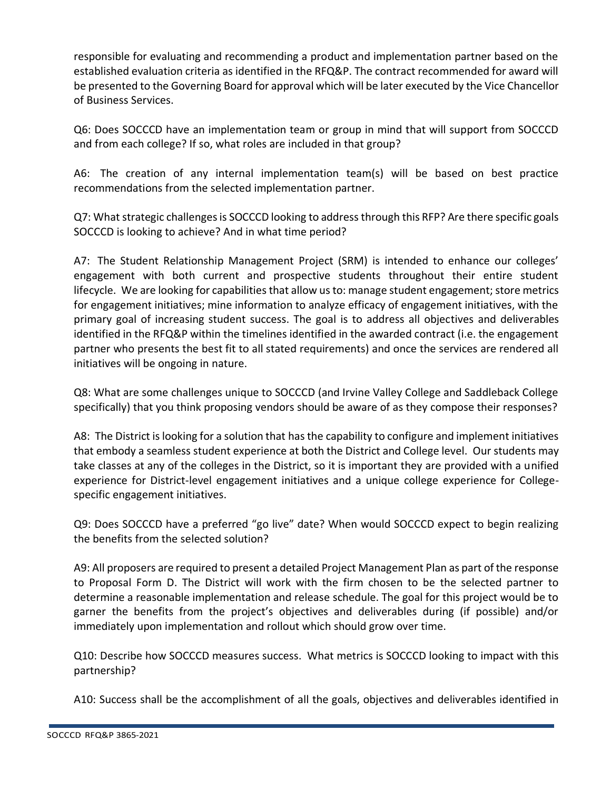responsible for evaluating and recommending a product and implementation partner based on the established evaluation criteria as identified in the RFQ&P. The contract recommended for award will be presented to the Governing Board for approval which will be later executed by the Vice Chancellor of Business Services.

Q6: Does SOCCCD have an implementation team or group in mind that will support from SOCCCD and from each college? If so, what roles are included in that group?

A6: The creation of any internal implementation team(s) will be based on best practice recommendations from the selected implementation partner.

Q7: What strategic challenges is SOCCCD looking to address through this RFP? Are there specific goals SOCCCD is looking to achieve? And in what time period?

A7: The Student Relationship Management Project (SRM) is intended to enhance our colleges' engagement with both current and prospective students throughout their entire student lifecycle. We are looking for capabilities that allow us to: manage student engagement; store metrics for engagement initiatives; mine information to analyze efficacy of engagement initiatives, with the primary goal of increasing student success. The goal is to address all objectives and deliverables identified in the RFQ&P within the timelines identified in the awarded contract (i.e. the engagement partner who presents the best fit to all stated requirements) and once the services are rendered all initiatives will be ongoing in nature.

Q8: What are some challenges unique to SOCCCD (and Irvine Valley College and Saddleback College specifically) that you think proposing vendors should be aware of as they compose their responses?

A8: The District is looking for a solution that has the capability to configure and implement initiatives that embody a seamless student experience at both the District and College level. Our students may take classes at any of the colleges in the District, so it is important they are provided with a unified experience for District-level engagement initiatives and a unique college experience for Collegespecific engagement initiatives.

Q9: Does SOCCCD have a preferred "go live" date? When would SOCCCD expect to begin realizing the benefits from the selected solution?

A9: All proposers are required to present a detailed Project Management Plan as part of the response to Proposal Form D. The District will work with the firm chosen to be the selected partner to determine a reasonable implementation and release schedule. The goal for this project would be to garner the benefits from the project's objectives and deliverables during (if possible) and/or immediately upon implementation and rollout which should grow over time.

Q10: Describe how SOCCCD measures success. What metrics is SOCCCD looking to impact with this partnership?

A10: Success shall be the accomplishment of all the goals, objectives and deliverables identified in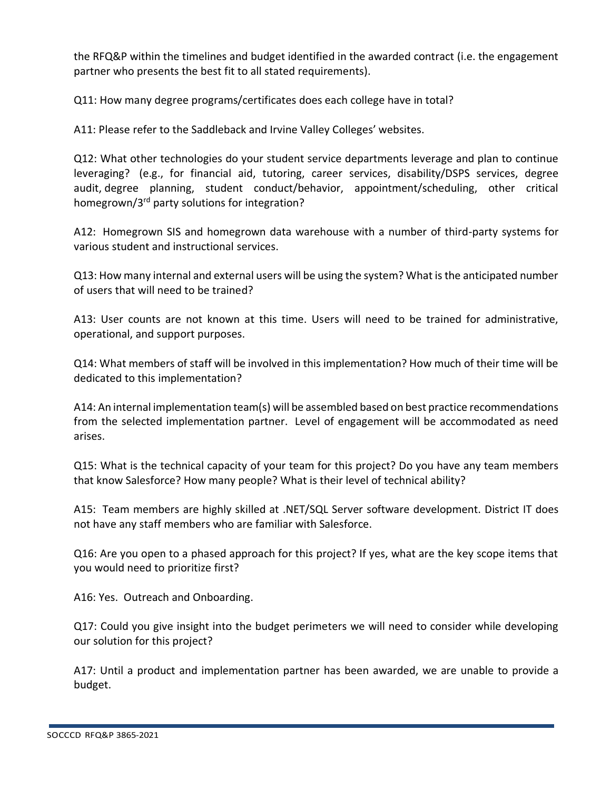the RFQ&P within the timelines and budget identified in the awarded contract (i.e. the engagement partner who presents the best fit to all stated requirements).

Q11: How many degree programs/certificates does each college have in total?

A11: Please refer to the Saddleback and Irvine Valley Colleges' websites.

Q12: What other technologies do your student service departments leverage and plan to continue leveraging? (e.g., for financial aid, tutoring, career services, disability/DSPS services, degree audit, degree planning, student conduct/behavior, appointment/scheduling, other critical homegrown/3rd party solutions for integration?

A12: Homegrown SIS and homegrown data warehouse with a number of third-party systems for various student and instructional services.

Q13: How many internal and external users will be using the system? What is the anticipated number of users that will need to be trained?

A13: User counts are not known at this time. Users will need to be trained for administrative, operational, and support purposes.

Q14: What members of staff will be involved in this implementation? How much of their time will be dedicated to this implementation?

A14: An internal implementation team(s) will be assembled based on best practice recommendations from the selected implementation partner. Level of engagement will be accommodated as need arises.

Q15: What is the technical capacity of your team for this project? Do you have any team members that know Salesforce? How many people? What is their level of technical ability?

A15: Team members are highly skilled at .NET/SQL Server software development. District IT does not have any staff members who are familiar with Salesforce.

Q16: Are you open to a phased approach for this project? If yes, what are the key scope items that you would need to prioritize first?

A16: Yes. Outreach and Onboarding.

Q17: Could you give insight into the budget perimeters we will need to consider while developing our solution for this project?

A17: Until a product and implementation partner has been awarded, we are unable to provide a budget.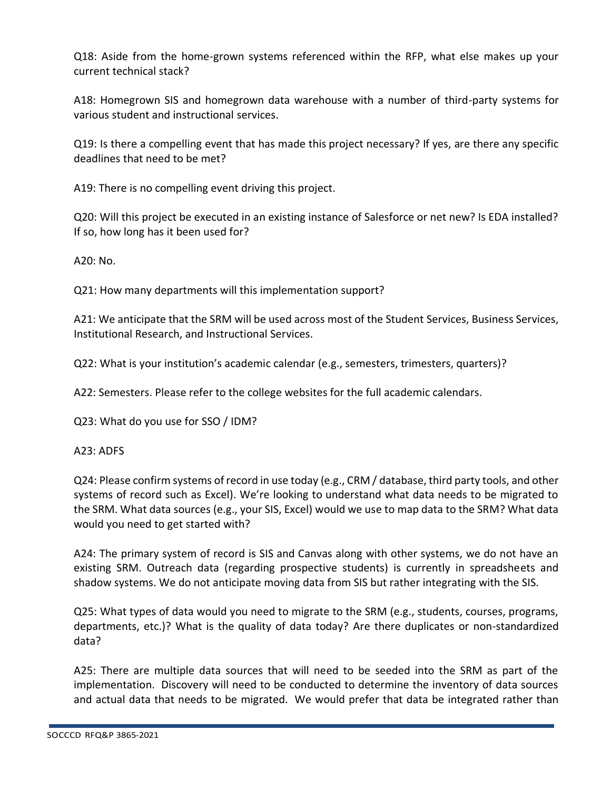Q18: Aside from the home-grown systems referenced within the RFP, what else makes up your current technical stack?

A18: Homegrown SIS and homegrown data warehouse with a number of third-party systems for various student and instructional services.

Q19: Is there a compelling event that has made this project necessary? If yes, are there any specific deadlines that need to be met?

A19: There is no compelling event driving this project.

Q20: Will this project be executed in an existing instance of Salesforce or net new? Is EDA installed? If so, how long has it been used for?

A20: No.

Q21: How many departments will this implementation support?

A21: We anticipate that the SRM will be used across most of the Student Services, Business Services, Institutional Research, and Instructional Services.

Q22: What is your institution's academic calendar (e.g., semesters, trimesters, quarters)?

A22: Semesters. Please refer to the college websites for the full academic calendars.

Q23: What do you use for SSO / IDM?

### A23: ADFS

Q24: Please confirm systems of record in use today (e.g., CRM / database, third party tools, and other systems of record such as Excel). We're looking to understand what data needs to be migrated to the SRM. What data sources (e.g., your SIS, Excel) would we use to map data to the SRM? What data would you need to get started with?

A24: The primary system of record is SIS and Canvas along with other systems, we do not have an existing SRM. Outreach data (regarding prospective students) is currently in spreadsheets and shadow systems. We do not anticipate moving data from SIS but rather integrating with the SIS.

Q25: What types of data would you need to migrate to the SRM (e.g., students, courses, programs, departments, etc.)? What is the quality of data today? Are there duplicates or non-standardized data?

A25: There are multiple data sources that will need to be seeded into the SRM as part of the implementation. Discovery will need to be conducted to determine the inventory of data sources and actual data that needs to be migrated. We would prefer that data be integrated rather than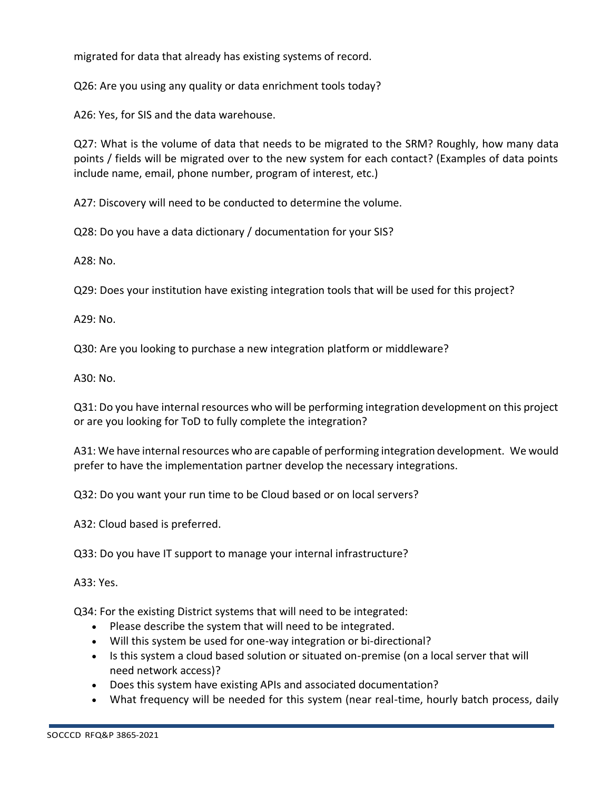migrated for data that already has existing systems of record.

Q26: Are you using any quality or data enrichment tools today?

A26: Yes, for SIS and the data warehouse.

Q27: What is the volume of data that needs to be migrated to the SRM? Roughly, how many data points / fields will be migrated over to the new system for each contact? (Examples of data points include name, email, phone number, program of interest, etc.)

A27: Discovery will need to be conducted to determine the volume.

Q28: Do you have a data dictionary / documentation for your SIS?

A28: No.

Q29: Does your institution have existing integration tools that will be used for this project?

A29: No.

Q30: Are you looking to purchase a new integration platform or middleware?

A30: No.

Q31: Do you have internal resources who will be performing integration development on this project or are you looking for ToD to fully complete the integration?

A31: We have internal resources who are capable of performing integration development. We would prefer to have the implementation partner develop the necessary integrations.

Q32: Do you want your run time to be Cloud based or on local servers?

A32: Cloud based is preferred.

Q33: Do you have IT support to manage your internal infrastructure?

A33: Yes.

Q34: For the existing District systems that will need to be integrated:

- Please describe the system that will need to be integrated.
- Will this system be used for one-way integration or bi-directional?
- Is this system a cloud based solution or situated on-premise (on a local server that will need network access)?
- Does this system have existing APIs and associated documentation?
- What frequency will be needed for this system (near real-time, hourly batch process, daily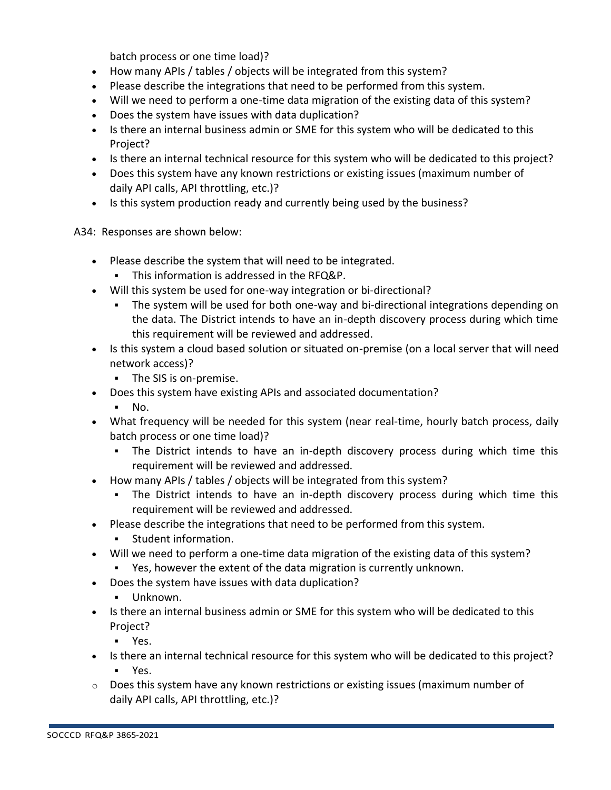batch process or one time load)?

- How many APIs / tables / objects will be integrated from this system?
- Please describe the integrations that need to be performed from this system.
- Will we need to perform a one-time data migration of the existing data of this system?
- Does the system have issues with data duplication?
- Is there an internal business admin or SME for this system who will be dedicated to this Project?
- Is there an internal technical resource for this system who will be dedicated to this project?
- Does this system have any known restrictions or existing issues (maximum number of daily API calls, API throttling, etc.)?
- Is this system production ready and currently being used by the business?

A34: Responses are shown below:

- Please describe the system that will need to be integrated.
	- This information is addressed in the RFQ&P.
- Will this system be used for one-way integration or bi-directional?
	- **•** The system will be used for both one-way and bi-directional integrations depending on the data. The District intends to have an in-depth discovery process during which time this requirement will be reviewed and addressed.
- Is this system a cloud based solution or situated on-premise (on a local server that will need network access)?
	- The SIS is on-premise.
- Does this system have existing APIs and associated documentation?
	- No.
- What frequency will be needed for this system (near real-time, hourly batch process, daily batch process or one time load)?
	- The District intends to have an in-depth discovery process during which time this requirement will be reviewed and addressed.
- How many APIs / tables / objects will be integrated from this system?
	- The District intends to have an in-depth discovery process during which time this requirement will be reviewed and addressed.
- Please describe the integrations that need to be performed from this system.
	- Student information.
- Will we need to perform a one-time data migration of the existing data of this system?
	- Yes, however the extent of the data migration is currently unknown.
- Does the system have issues with data duplication?
	- Unknown.
- Is there an internal business admin or SME for this system who will be dedicated to this Project?
	- Yes.
- Is there an internal technical resource for this system who will be dedicated to this project? ▪ Yes.
- o Does this system have any known restrictions or existing issues (maximum number of daily API calls, API throttling, etc.)?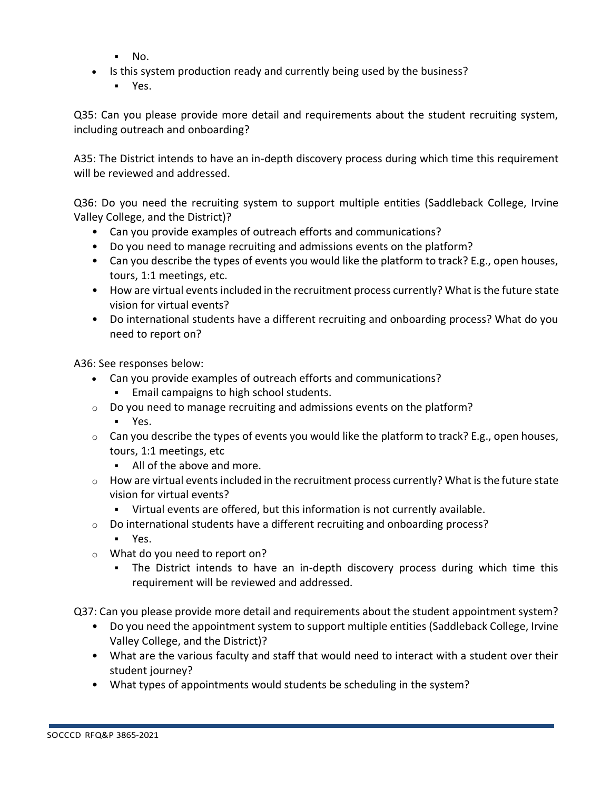- No.
- Is this system production ready and currently being used by the business?
	- Yes.

Q35: Can you please provide more detail and requirements about the student recruiting system, including outreach and onboarding?

A35: The District intends to have an in-depth discovery process during which time this requirement will be reviewed and addressed.

Q36: Do you need the recruiting system to support multiple entities (Saddleback College, Irvine Valley College, and the District)?

- Can you provide examples of outreach efforts and communications?
- Do you need to manage recruiting and admissions events on the platform?
- Can you describe the types of events you would like the platform to track? E.g., open houses, tours, 1:1 meetings, etc.
- How are virtual events included in the recruitment process currently? What is the future state vision for virtual events?
- Do international students have a different recruiting and onboarding process? What do you need to report on?

A36: See responses below:

- Can you provide examples of outreach efforts and communications?
	- **Email campaigns to high school students.**
- $\circ$  Do you need to manage recruiting and admissions events on the platform?
	- Yes.
- $\circ$  Can you describe the types of events you would like the platform to track? E.g., open houses, tours, 1:1 meetings, etc
	- All of the above and more.
- $\circ$  How are virtual events included in the recruitment process currently? What is the future state vision for virtual events?
	- Virtual events are offered, but this information is not currently available.
- $\circ$  Do international students have a different recruiting and onboarding process?
	- Yes.
- o What do you need to report on?
	- The District intends to have an in-depth discovery process during which time this requirement will be reviewed and addressed.

Q37: Can you please provide more detail and requirements about the student appointment system?

- Do you need the appointment system to support multiple entities (Saddleback College, Irvine Valley College, and the District)?
- What are the various faculty and staff that would need to interact with a student over their student journey?
- What types of appointments would students be scheduling in the system?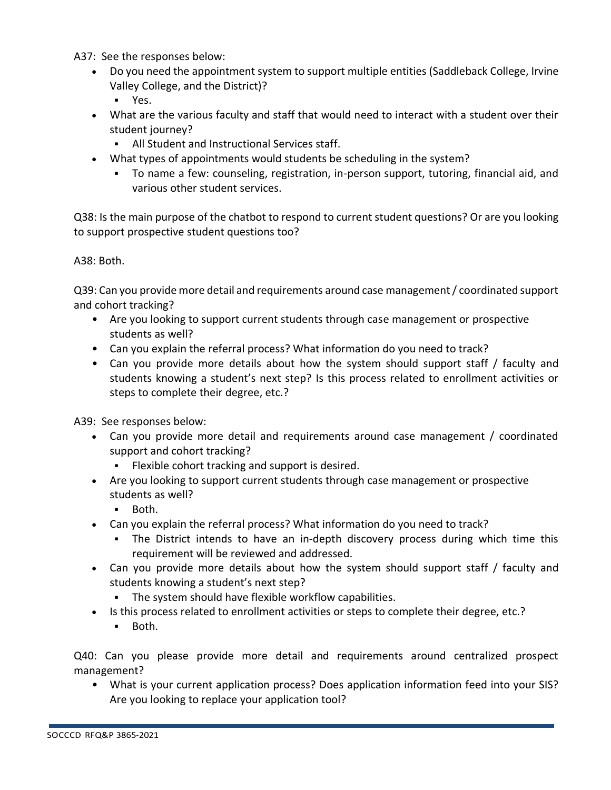A37: See the responses below:

- Do you need the appointment system to support multiple entities (Saddleback College, Irvine Valley College, and the District)?
	- Yes.
- What are the various faculty and staff that would need to interact with a student over their student journey?
	- All Student and Instructional Services staff.
- What types of appointments would students be scheduling in the system?
	- To name a few: counseling, registration, in-person support, tutoring, financial aid, and various other student services.

Q38: Is the main purpose of the chatbot to respond to current student questions? Or are you looking to support prospective student questions too?

### A38: Both.

Q39: Can you provide more detail and requirements around case management / coordinated support and cohort tracking?

- Are you looking to support current students through case management or prospective students as well?
- Can you explain the referral process? What information do you need to track?
- Can you provide more details about how the system should support staff / faculty and students knowing a student's next step? Is this process related to enrollment activities or steps to complete their degree, etc.?

A39: See responses below:

- Can you provide more detail and requirements around case management / coordinated support and cohort tracking?
	- Flexible cohort tracking and support is desired.
- Are you looking to support current students through case management or prospective students as well?
	- Both.
- Can you explain the referral process? What information do you need to track?
	- The District intends to have an in-depth discovery process during which time this requirement will be reviewed and addressed.
- Can you provide more details about how the system should support staff / faculty and students knowing a student's next step?
	- The system should have flexible workflow capabilities.
- Is this process related to enrollment activities or steps to complete their degree, etc.?
	- Both.

Q40: Can you please provide more detail and requirements around centralized prospect management?

• What is your current application process? Does application information feed into your SIS? Are you looking to replace your application tool?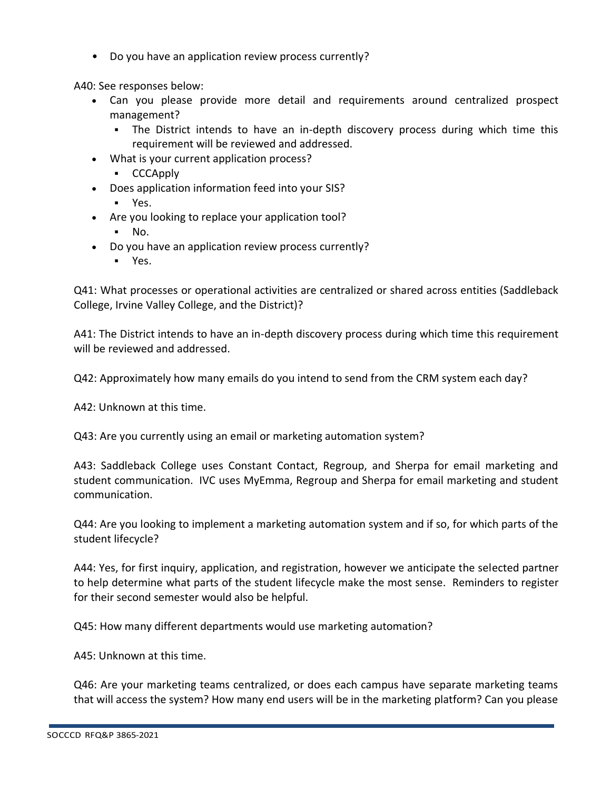• Do you have an application review process currently?

A40: See responses below:

- Can you please provide more detail and requirements around centralized prospect management?
	- The District intends to have an in-depth discovery process during which time this requirement will be reviewed and addressed.
- What is your current application process?
	- CCCApply
- Does application information feed into your SIS?
	- Yes.
- Are you looking to replace your application tool?
	- No.
- Do you have an application review process currently?
	- Yes.

Q41: What processes or operational activities are centralized or shared across entities (Saddleback College, Irvine Valley College, and the District)?

A41: The District intends to have an in-depth discovery process during which time this requirement will be reviewed and addressed.

Q42: Approximately how many emails do you intend to send from the CRM system each day?

A42: Unknown at this time.

Q43: Are you currently using an email or marketing automation system?

A43: Saddleback College uses Constant Contact, Regroup, and Sherpa for email marketing and student communication. IVC uses MyEmma, Regroup and Sherpa for email marketing and student communication.

Q44: Are you looking to implement a marketing automation system and if so, for which parts of the student lifecycle?

A44: Yes, for first inquiry, application, and registration, however we anticipate the selected partner to help determine what parts of the student lifecycle make the most sense. Reminders to register for their second semester would also be helpful.

Q45: How many different departments would use marketing automation?

A45: Unknown at this time.

Q46: Are your marketing teams centralized, or does each campus have separate marketing teams that will access the system? How many end users will be in the marketing platform? Can you please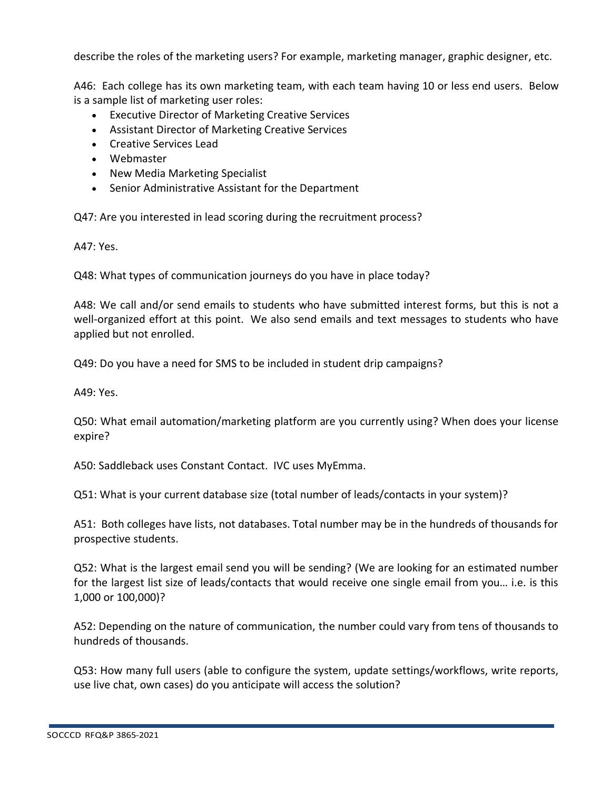describe the roles of the marketing users? For example, marketing manager, graphic designer, etc.

A46: Each college has its own marketing team, with each team having 10 or less end users. Below is a sample list of marketing user roles:

- Executive Director of Marketing Creative Services
- Assistant Director of Marketing Creative Services
- Creative Services Lead
- Webmaster
- New Media Marketing Specialist
- Senior Administrative Assistant for the Department

Q47: Are you interested in lead scoring during the recruitment process?

A47: Yes.

Q48: What types of communication journeys do you have in place today?

A48: We call and/or send emails to students who have submitted interest forms, but this is not a well-organized effort at this point. We also send emails and text messages to students who have applied but not enrolled.

Q49: Do you have a need for SMS to be included in student drip campaigns?

A49: Yes.

Q50: What email automation/marketing platform are you currently using? When does your license expire?

A50: Saddleback uses Constant Contact. IVC uses MyEmma.

Q51: What is your current database size (total number of leads/contacts in your system)?

A51: Both colleges have lists, not databases. Total number may be in the hundreds of thousands for prospective students.

Q52: What is the largest email send you will be sending? (We are looking for an estimated number for the largest list size of leads/contacts that would receive one single email from you… i.e. is this 1,000 or 100,000)?

A52: Depending on the nature of communication, the number could vary from tens of thousands to hundreds of thousands.

Q53: How many full users (able to configure the system, update settings/workflows, write reports, use live chat, own cases) do you anticipate will access the solution?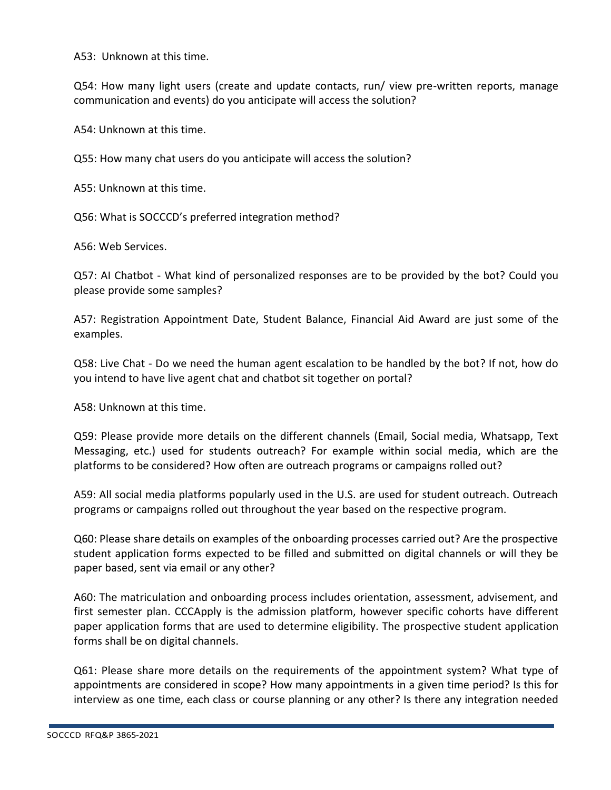A53: Unknown at this time.

Q54: How many light users (create and update contacts, run/ view pre-written reports, manage communication and events) do you anticipate will access the solution?

A54: Unknown at this time.

Q55: How many chat users do you anticipate will access the solution?

A55: Unknown at this time.

Q56: What is SOCCCD's preferred integration method?

A56: Web Services.

Q57: AI Chatbot - What kind of personalized responses are to be provided by the bot? Could you please provide some samples?

A57: Registration Appointment Date, Student Balance, Financial Aid Award are just some of the examples.

Q58: Live Chat - Do we need the human agent escalation to be handled by the bot? If not, how do you intend to have live agent chat and chatbot sit together on portal?

A58: Unknown at this time.

Q59: Please provide more details on the different channels (Email, Social media, Whatsapp, Text Messaging, etc.) used for students outreach? For example within social media, which are the platforms to be considered? How often are outreach programs or campaigns rolled out?

A59: All social media platforms popularly used in the U.S. are used for student outreach. Outreach programs or campaigns rolled out throughout the year based on the respective program.

Q60: Please share details on examples of the onboarding processes carried out? Are the prospective student application forms expected to be filled and submitted on digital channels or will they be paper based, sent via email or any other?

A60: The matriculation and onboarding process includes orientation, assessment, advisement, and first semester plan. CCCApply is the admission platform, however specific cohorts have different paper application forms that are used to determine eligibility. The prospective student application forms shall be on digital channels.

Q61: Please share more details on the requirements of the appointment system? What type of appointments are considered in scope? How many appointments in a given time period? Is this for interview as one time, each class or course planning or any other? Is there any integration needed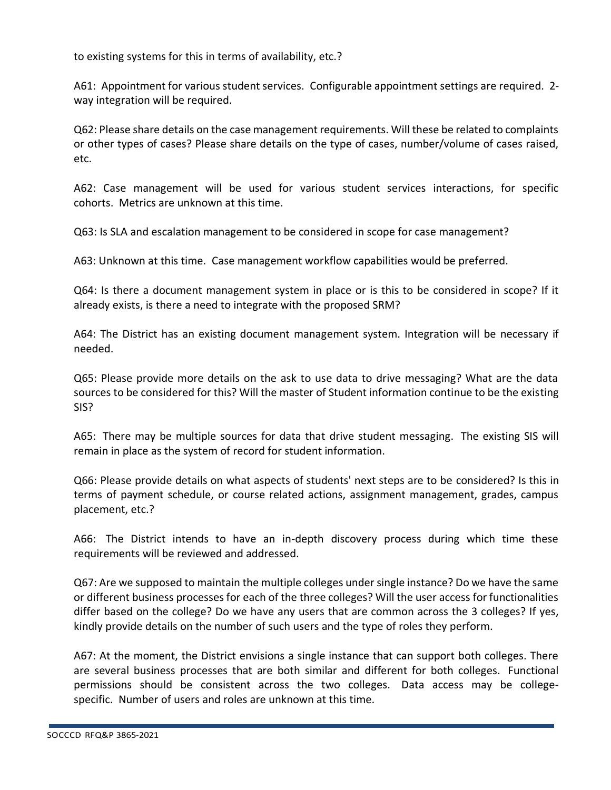to existing systems for this in terms of availability, etc.?

A61: Appointment for various student services. Configurable appointment settings are required. 2 way integration will be required.

Q62: Please share details on the case management requirements. Will these be related to complaints or other types of cases? Please share details on the type of cases, number/volume of cases raised, etc.

A62: Case management will be used for various student services interactions, for specific cohorts. Metrics are unknown at this time.

Q63: Is SLA and escalation management to be considered in scope for case management?

A63: Unknown at this time. Case management workflow capabilities would be preferred.

Q64: Is there a document management system in place or is this to be considered in scope? If it already exists, is there a need to integrate with the proposed SRM?

A64: The District has an existing document management system. Integration will be necessary if needed.

Q65: Please provide more details on the ask to use data to drive messaging? What are the data sources to be considered for this? Will the master of Student information continue to be the existing SIS?

A65: There may be multiple sources for data that drive student messaging. The existing SIS will remain in place as the system of record for student information.

Q66: Please provide details on what aspects of students' next steps are to be considered? Is this in terms of payment schedule, or course related actions, assignment management, grades, campus placement, etc.?

A66: The District intends to have an in-depth discovery process during which time these requirements will be reviewed and addressed.

Q67: Are we supposed to maintain the multiple colleges under single instance? Do we have the same or different business processes for each of the three colleges? Will the user access for functionalities differ based on the college? Do we have any users that are common across the 3 colleges? If yes, kindly provide details on the number of such users and the type of roles they perform.

A67: At the moment, the District envisions a single instance that can support both colleges. There are several business processes that are both similar and different for both colleges. Functional permissions should be consistent across the two colleges. Data access may be collegespecific. Number of users and roles are unknown at this time.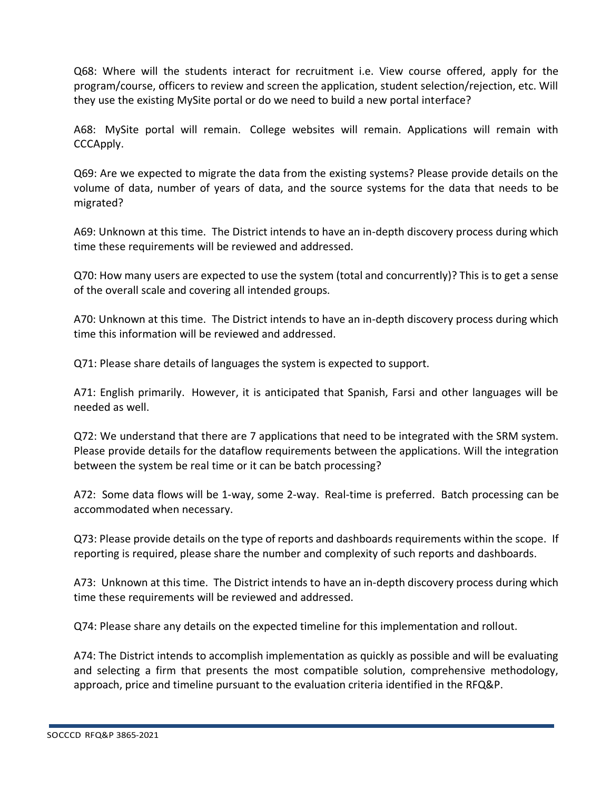Q68: Where will the students interact for recruitment i.e. View course offered, apply for the program/course, officers to review and screen the application, student selection/rejection, etc. Will they use the existing MySite portal or do we need to build a new portal interface?

A68: MySite portal will remain. College websites will remain. Applications will remain with CCCApply.

Q69: Are we expected to migrate the data from the existing systems? Please provide details on the volume of data, number of years of data, and the source systems for the data that needs to be migrated?

A69: Unknown at this time. The District intends to have an in-depth discovery process during which time these requirements will be reviewed and addressed.

Q70: How many users are expected to use the system (total and concurrently)? This is to get a sense of the overall scale and covering all intended groups.

A70: Unknown at this time. The District intends to have an in-depth discovery process during which time this information will be reviewed and addressed.

Q71: Please share details of languages the system is expected to support.

A71: English primarily. However, it is anticipated that Spanish, Farsi and other languages will be needed as well.

Q72: We understand that there are 7 applications that need to be integrated with the SRM system. Please provide details for the dataflow requirements between the applications. Will the integration between the system be real time or it can be batch processing?

A72: Some data flows will be 1-way, some 2-way. Real-time is preferred. Batch processing can be accommodated when necessary.

Q73: Please provide details on the type of reports and dashboards requirements within the scope. If reporting is required, please share the number and complexity of such reports and dashboards.

A73: Unknown at this time. The District intends to have an in-depth discovery process during which time these requirements will be reviewed and addressed.

Q74: Please share any details on the expected timeline for this implementation and rollout.

A74: The District intends to accomplish implementation as quickly as possible and will be evaluating and selecting a firm that presents the most compatible solution, comprehensive methodology, approach, price and timeline pursuant to the evaluation criteria identified in the RFQ&P.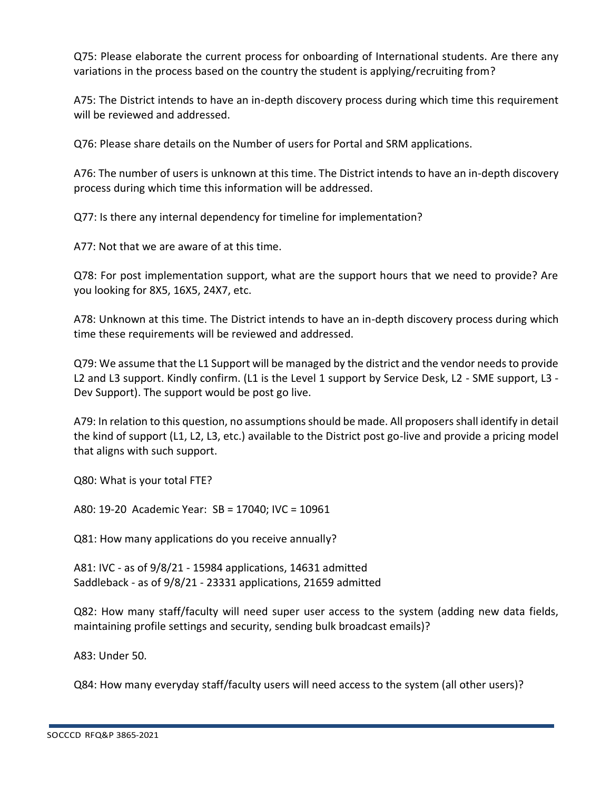Q75: Please elaborate the current process for onboarding of International students. Are there any variations in the process based on the country the student is applying/recruiting from?

A75: The District intends to have an in-depth discovery process during which time this requirement will be reviewed and addressed.

Q76: Please share details on the Number of users for Portal and SRM applications.

A76: The number of users is unknown at this time. The District intends to have an in-depth discovery process during which time this information will be addressed.

Q77: Is there any internal dependency for timeline for implementation?

A77: Not that we are aware of at this time.

Q78: For post implementation support, what are the support hours that we need to provide? Are you looking for 8X5, 16X5, 24X7, etc.

A78: Unknown at this time. The District intends to have an in-depth discovery process during which time these requirements will be reviewed and addressed.

Q79: We assume that the L1 Support will be managed by the district and the vendor needs to provide L2 and L3 support. Kindly confirm. (L1 is the Level 1 support by Service Desk, L2 - SME support, L3 - Dev Support). The support would be post go live.

A79: In relation to this question, no assumptions should be made. All proposers shall identify in detail the kind of support (L1, L2, L3, etc.) available to the District post go-live and provide a pricing model that aligns with such support.

Q80: What is your total FTE?

A80: 19-20 Academic Year: SB = 17040; IVC = 10961

Q81: How many applications do you receive annually?

A81: IVC - as of 9/8/21 - 15984 applications, 14631 admitted Saddleback - as of 9/8/21 - 23331 applications, 21659 admitted

Q82: How many staff/faculty will need super user access to the system (adding new data fields, maintaining profile settings and security, sending bulk broadcast emails)?

A83: Under 50.

Q84: How many everyday staff/faculty users will need access to the system (all other users)?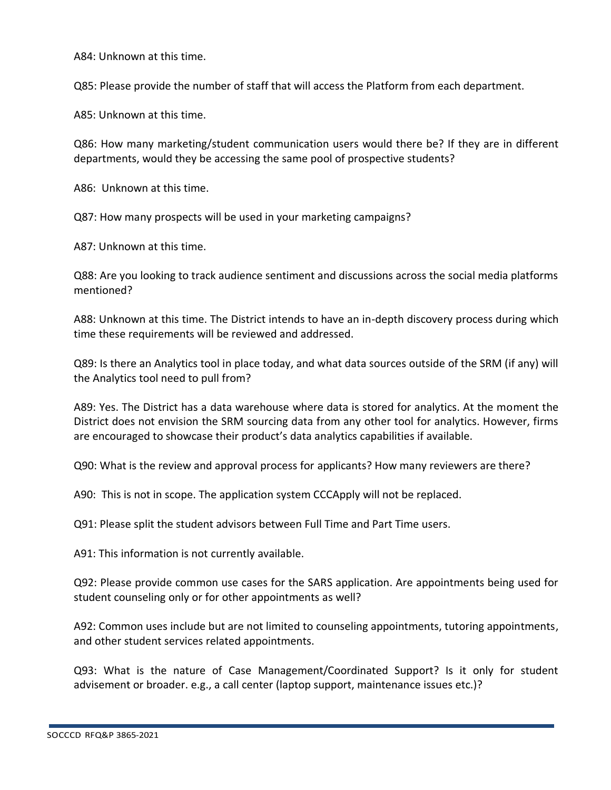A84: Unknown at this time.

Q85: Please provide the number of staff that will access the Platform from each department.

A85: Unknown at this time.

Q86: How many marketing/student communication users would there be? If they are in different departments, would they be accessing the same pool of prospective students?

A86: Unknown at this time.

Q87: How many prospects will be used in your marketing campaigns?

A87: Unknown at this time.

Q88: Are you looking to track audience sentiment and discussions across the social media platforms mentioned?

A88: Unknown at this time. The District intends to have an in-depth discovery process during which time these requirements will be reviewed and addressed.

Q89: Is there an Analytics tool in place today, and what data sources outside of the SRM (if any) will the Analytics tool need to pull from?

A89: Yes. The District has a data warehouse where data is stored for analytics. At the moment the District does not envision the SRM sourcing data from any other tool for analytics. However, firms are encouraged to showcase their product's data analytics capabilities if available.

Q90: What is the review and approval process for applicants? How many reviewers are there?

A90: This is not in scope. The application system CCCApply will not be replaced.

Q91: Please split the student advisors between Full Time and Part Time users.

A91: This information is not currently available.

Q92: Please provide common use cases for the SARS application. Are appointments being used for student counseling only or for other appointments as well?

A92: Common uses include but are not limited to counseling appointments, tutoring appointments, and other student services related appointments.

Q93: What is the nature of Case Management/Coordinated Support? Is it only for student advisement or broader. e.g., a call center (laptop support, maintenance issues etc.)?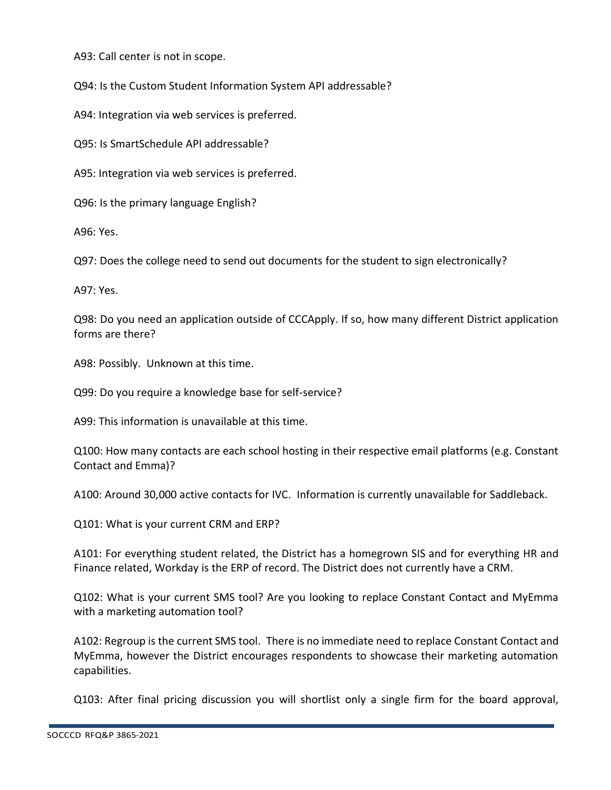A93: Call center is not in scope.

Q94: Is the Custom Student Information System API addressable?

A94: Integration via web services is preferred.

Q95: Is SmartSchedule API addressable?

A95: Integration via web services is preferred.

Q96: Is the primary language English?

A96: Yes.

Q97: Does the college need to send out documents for the student to sign electronically?

A97: Yes.

Q98: Do you need an application outside of CCCApply. If so, how many different District application forms are there?

A98: Possibly. Unknown at this time.

Q99: Do you require a knowledge base for self-service?

A99: This information is unavailable at this time.

Q100: How many contacts are each school hosting in their respective email platforms (e.g. Constant Contact and Emma)?

A100: Around 30,000 active contacts for IVC. Information is currently unavailable for Saddleback.

Q101: What is your current CRM and ERP?

A101: For everything student related, the District has a homegrown SIS and for everything HR and Finance related, Workday is the ERP of record. The District does not currently have a CRM.

Q102: What is your current SMS tool? Are you looking to replace Constant Contact and MyEmma with a marketing automation tool?

A102: Regroup is the current SMS tool. There is no immediate need to replace Constant Contact and MyEmma, however the District encourages respondents to showcase their marketing automation capabilities.

Q103: After final pricing discussion you will shortlist only a single firm for the board approval,